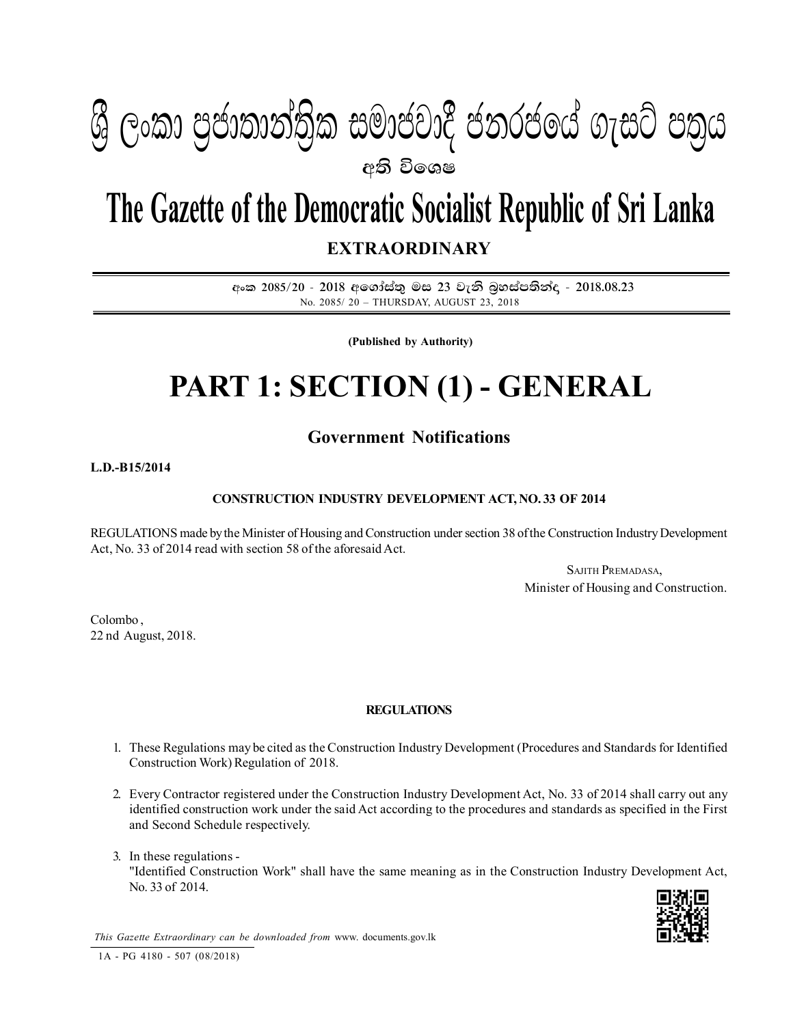

# **The Gazette of the Democratic Socialist Republic of Sri Lanka EXTRAORDINARY**

අංක 2085/20 - 2018 අගෝස්තු මස 23 වැනි බූහස්පතින්ද - 2018.08.23 No. 2085/ 20 – THURSDAY, AUGUST 23, 2018

**(Published by Authority)**

# **PART 1: SECTION (1) - GENERAL**

# **Government Notifications**

### **L.D.-B15/2014**

# **CONSTRUCTION INDUSTRY DEVELOPMENT ACT, NO. 33 OF 2014**

REGULATIONS made by the Minister of Housing and Construction under section 38 of the Construction Industry Development Act, No. 33 of 2014 read with section 58 of the aforesaid Act.

> SAJITH PREMADASA, Minister of Housing and Construction.

Colombo , 22 nd August, 2018.

## **REGULATIONS**

- 1. These Regulations may be cited as the Construction Industry Development (Procedures and Standards for Identified Construction Work) Regulation of 2018.
- 2. Every Contractor registered under the Construction Industry Development Act, No. 33 of 2014 shall carry out any identified construction work under the said Act according to the procedures and standards as specified in the First and Second Schedule respectively.
- 3. In these regulations "Identified Construction Work" shall have the same meaning as in the Construction Industry Development Act, No. 33 of 2014.



*This Gazette Extraordinary can be downloaded from* www. documents.gov.lk